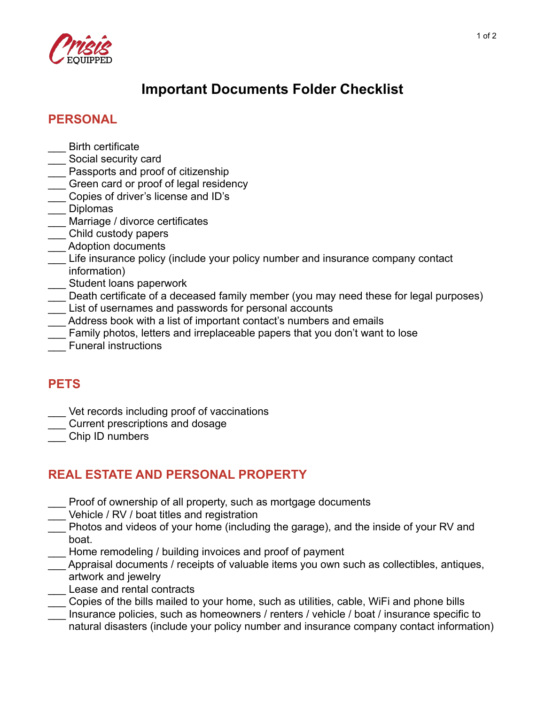

# **Important Documents Folder Checklist**

## **PERSONAL**

- \_\_\_ Birth certificate
- \_\_\_ Social security card
- \_\_\_ Passports and proof of citizenship
- Green card or proof of legal residency
- \_\_\_ Copies of driver's license and ID's
- \_\_\_ Diplomas
- Marriage / divorce certificates
- \_\_\_ Child custody papers
- \_\_\_ Adoption documents
- Life insurance policy (include your policy number and insurance company contact information)
- Student loans paperwork
- Death certificate of a deceased family member (you may need these for legal purposes)
- List of usernames and passwords for personal accounts
- Address book with a list of important contact's numbers and emails
- \_\_\_ Family photos, letters and irreplaceable papers that you don't want to lose
- \_\_\_ Funeral instructions

## **PETS**

- Vet records including proof of vaccinations
- \_\_\_ Current prescriptions and dosage
- \_\_\_ Chip ID numbers

## **REAL ESTATE AND PERSONAL PROPERTY**

- Proof of ownership of all property, such as mortgage documents
- Vehicle / RV / boat titles and registration
- \_\_\_ Photos and videos of your home (including the garage), and the inside of your RV and boat.
- Home remodeling / building invoices and proof of payment
- Appraisal documents / receipts of valuable items you own such as collectibles, antiques, artwork and jewelry
- Lease and rental contracts
- Copies of the bills mailed to your home, such as utilities, cable, WiFi and phone bills
- Insurance policies, such as homeowners / renters / vehicle / boat / insurance specific to natural disasters (include your policy number and insurance company contact information)